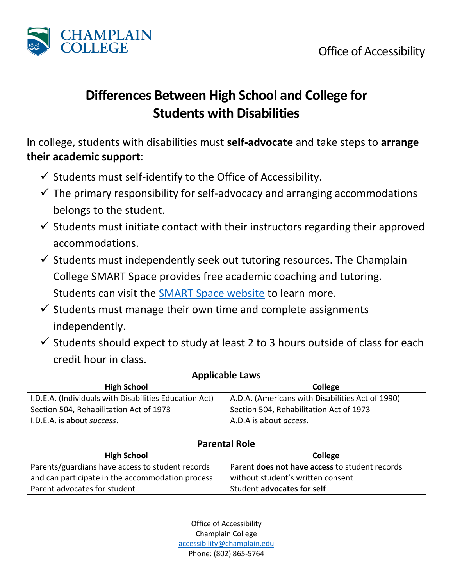

## **Differences Between High School and College for Students with Disabilities**

In college, students with disabilities must **self-advocate** and take steps to **arrange their academic support**:

- $\checkmark$  Students must self-identify to the Office of Accessibility.
- $\checkmark$  The primary responsibility for self-advocacy and arranging accommodations belongs to the student.
- $\checkmark$  Students must initiate contact with their instructors regarding their approved accommodations.
- $\checkmark$  Students must independently seek out tutoring resources. The Champlain College SMART Space provides free academic coaching and tutoring. Students can visit the [SMART Space website](https://www.champlain.edu/current-students/academic-information/academic-support-programs_current-students) to learn more.
- $\checkmark$  Students must manage their own time and complete assignments independently.
- $\checkmark$  Students should expect to study at least 2 to 3 hours outside of class for each credit hour in class.

| <b>Applicable Laws</b>                                 |                                                  |  |
|--------------------------------------------------------|--------------------------------------------------|--|
| <b>High School</b>                                     | College                                          |  |
| I.D.E.A. (Individuals with Disabilities Education Act) | A.D.A. (Americans with Disabilities Act of 1990) |  |
| Section 504, Rehabilitation Act of 1973                | Section 504, Rehabilitation Act of 1973          |  |
| I.D.E.A. is about success.                             | A.D.A is about <i>access</i> .                   |  |

## **Parental Role**

| <b>High School</b>                               | College                                               |
|--------------------------------------------------|-------------------------------------------------------|
| Parents/guardians have access to student records | Parent <b>does not have access</b> to student records |
| and can participate in the accommodation process | without student's written consent                     |
| Parent advocates for student                     | Student advocates for self                            |

Office of Accessibility Champlain College [accessibility@champlain.edu](mailto:accessibility@champlain.edu) Phone: (802) 865-5764